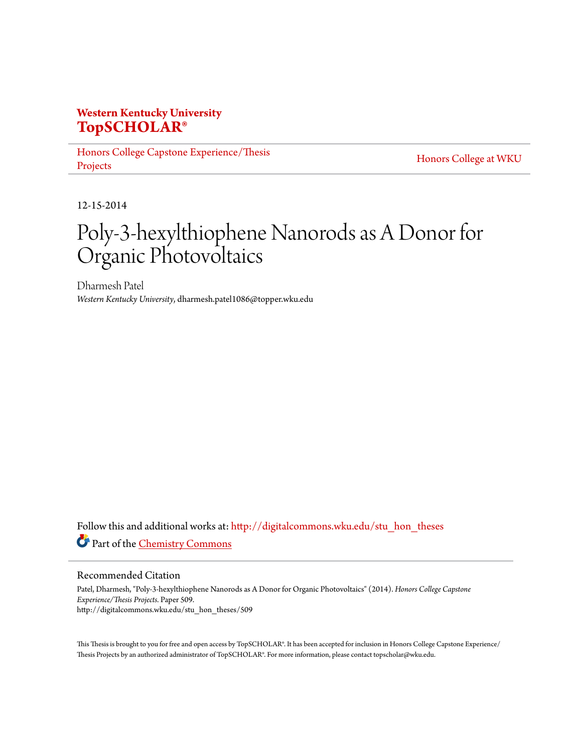# **Western Kentucky University [TopSCHOLAR®](http://digitalcommons.wku.edu?utm_source=digitalcommons.wku.edu%2Fstu_hon_theses%2F509&utm_medium=PDF&utm_campaign=PDFCoverPages)**

[Honors College Capstone Experience/Thesis](http://digitalcommons.wku.edu/stu_hon_theses?utm_source=digitalcommons.wku.edu%2Fstu_hon_theses%2F509&utm_medium=PDF&utm_campaign=PDFCoverPages) [Projects](http://digitalcommons.wku.edu/stu_hon_theses?utm_source=digitalcommons.wku.edu%2Fstu_hon_theses%2F509&utm_medium=PDF&utm_campaign=PDFCoverPages)

[Honors College at WKU](http://digitalcommons.wku.edu/honors_prog?utm_source=digitalcommons.wku.edu%2Fstu_hon_theses%2F509&utm_medium=PDF&utm_campaign=PDFCoverPages)

12-15-2014

# Poly-3-hexylthiophene Nanorods as A Donor for Organic Photovoltaics

Dharmesh Patel *Western Kentucky University*, dharmesh.patel1086@topper.wku.edu

Follow this and additional works at: [http://digitalcommons.wku.edu/stu\\_hon\\_theses](http://digitalcommons.wku.edu/stu_hon_theses?utm_source=digitalcommons.wku.edu%2Fstu_hon_theses%2F509&utm_medium=PDF&utm_campaign=PDFCoverPages) Part of the [Chemistry Commons](http://network.bepress.com/hgg/discipline/131?utm_source=digitalcommons.wku.edu%2Fstu_hon_theses%2F509&utm_medium=PDF&utm_campaign=PDFCoverPages)

Recommended Citation

Patel, Dharmesh, "Poly-3-hexylthiophene Nanorods as A Donor for Organic Photovoltaics" (2014). *Honors College Capstone Experience/Thesis Projects.* Paper 509. http://digitalcommons.wku.edu/stu\_hon\_theses/509

This Thesis is brought to you for free and open access by TopSCHOLAR®. It has been accepted for inclusion in Honors College Capstone Experience/ Thesis Projects by an authorized administrator of TopSCHOLAR®. For more information, please contact topscholar@wku.edu.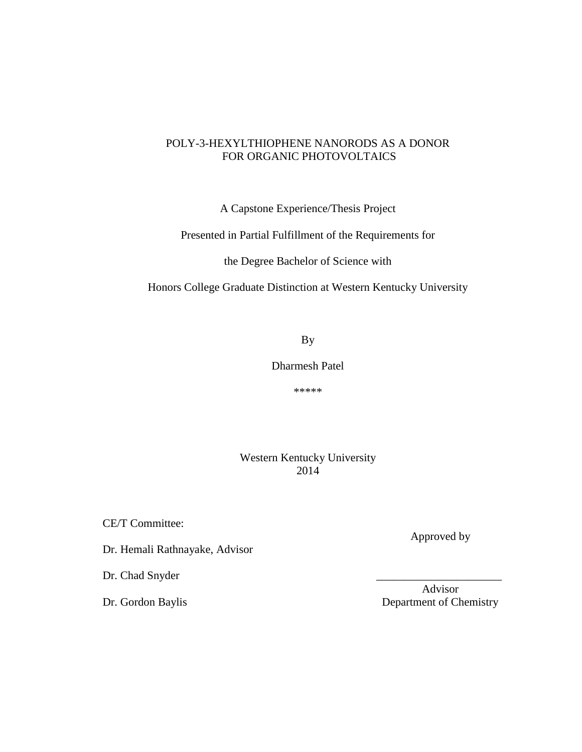## POLY-3-HEXYLTHIOPHENE NANORODS AS A DONOR FOR ORGANIC PHOTOVOLTAICS

A Capstone Experience/Thesis Project

Presented in Partial Fulfillment of the Requirements for

the Degree Bachelor of Science with

Honors College Graduate Distinction at Western Kentucky University

By

Dharmesh Patel

\*\*\*\*\*

Western Kentucky University 2014

CE/T Committee:

Dr. Hemali Rathnayake, Advisor

Dr. Chad Snyder

Approved by

 Advisor Dr. Gordon Baylis Department of Chemistry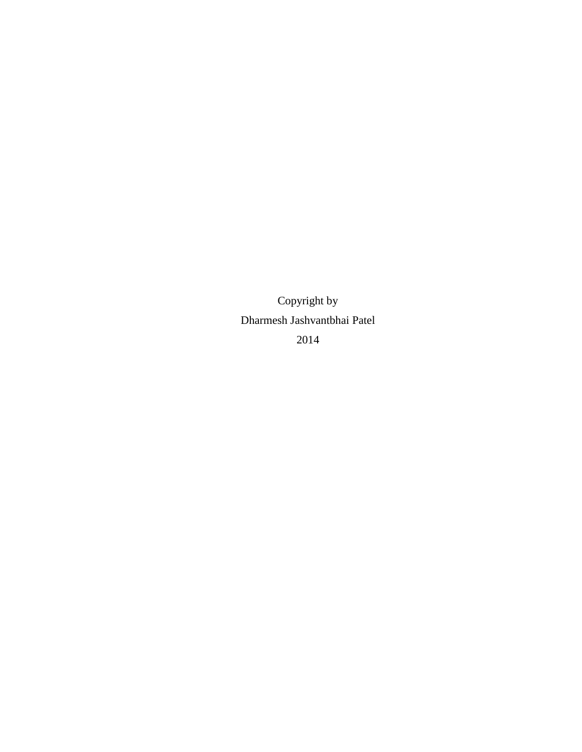Copyright by Dharmesh Jashvantbhai Patel 2014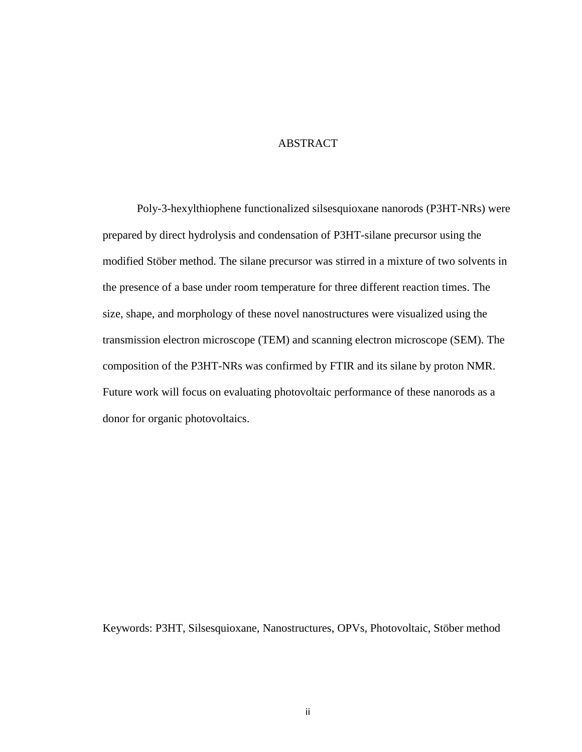## **ABSTRACT**

Poly-3-hexylthiophene functionalized silsesquioxane nanorods (P3HT-NRs) were prepared by direct hydrolysis and condensation of P3HT-silane precursor using the modified Stöber method. The silane precursor was stirred in a mixture of two solvents in the presence of a base under room temperature for three different reaction times. The size, shape, and morphology of these novel nanostructures were visualized using the transmission electron microscope (TEM) and scanning electron microscope (SEM). The composition of the P3HT-NRs was confirmed by FTIR and its silane by proton NMR. Future work will focus on evaluating photovoltaic performance of these nanorods as a donor for organic photovoltaics.

Keywords: P3HT, Silsesquioxane, Nanostructures, OPVs, Photovoltaic, Stöber method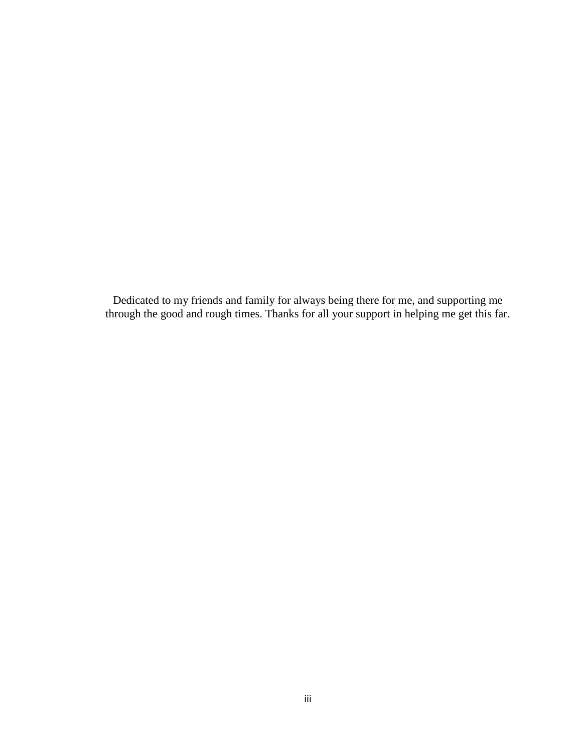Dedicated to my friends and family for always being there for me, and supporting me through the good and rough times. Thanks for all your support in helping me get this far.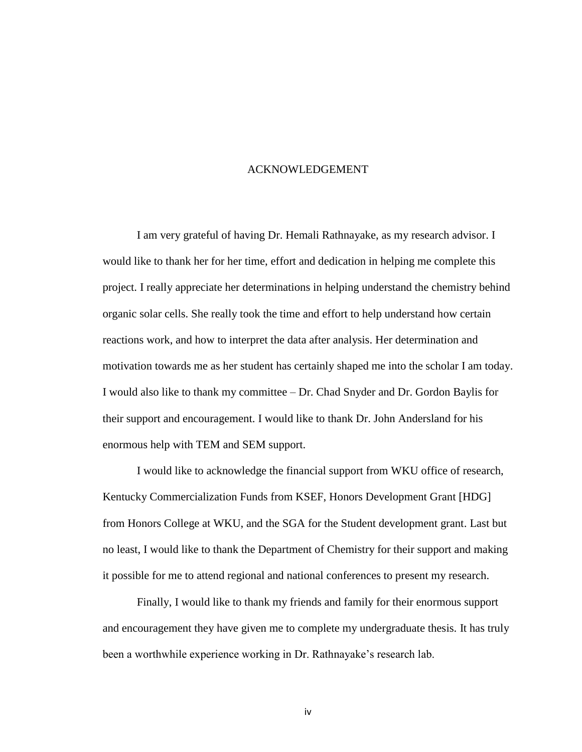## ACKNOWLEDGEMENT

I am very grateful of having Dr. Hemali Rathnayake, as my research advisor. I would like to thank her for her time, effort and dedication in helping me complete this project. I really appreciate her determinations in helping understand the chemistry behind organic solar cells. She really took the time and effort to help understand how certain reactions work, and how to interpret the data after analysis. Her determination and motivation towards me as her student has certainly shaped me into the scholar I am today. I would also like to thank my committee – Dr. Chad Snyder and Dr. Gordon Baylis for their support and encouragement. I would like to thank Dr. John Andersland for his enormous help with TEM and SEM support.

I would like to acknowledge the financial support from WKU office of research, Kentucky Commercialization Funds from KSEF, Honors Development Grant [HDG] from Honors College at WKU, and the SGA for the Student development grant. Last but no least, I would like to thank the Department of Chemistry for their support and making it possible for me to attend regional and national conferences to present my research.

Finally, I would like to thank my friends and family for their enormous support and encouragement they have given me to complete my undergraduate thesis. It has truly been a worthwhile experience working in Dr. Rathnayake's research lab.

iv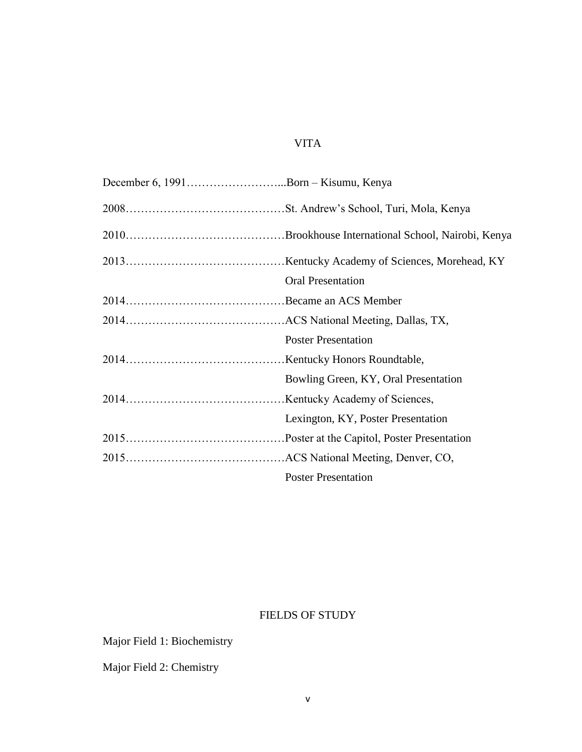# VITA

| December 6, 1991Born – Kisumu, Kenya |                                      |
|--------------------------------------|--------------------------------------|
|                                      |                                      |
|                                      |                                      |
|                                      |                                      |
|                                      | <b>Oral Presentation</b>             |
|                                      |                                      |
|                                      |                                      |
|                                      | <b>Poster Presentation</b>           |
|                                      |                                      |
|                                      | Bowling Green, KY, Oral Presentation |
|                                      |                                      |
|                                      | Lexington, KY, Poster Presentation   |
|                                      |                                      |
|                                      |                                      |
|                                      | <b>Poster Presentation</b>           |

# FIELDS OF STUDY

Major Field 1: Biochemistry

Major Field 2: Chemistry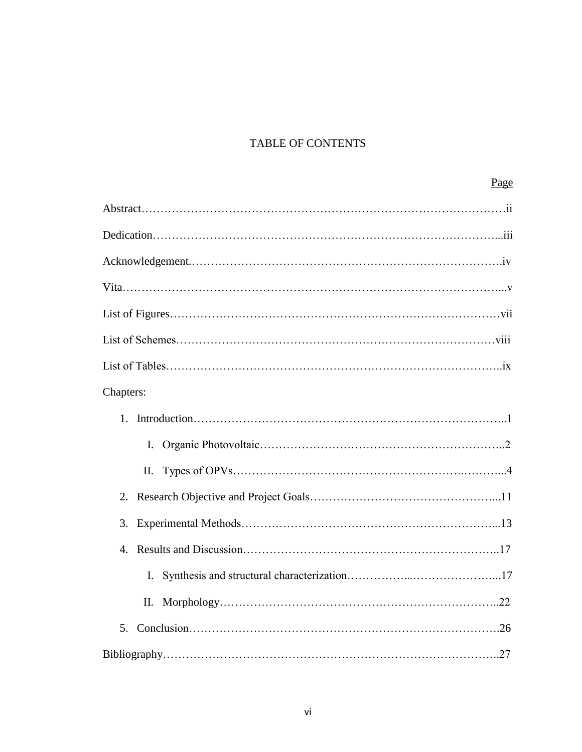# TABLE OF CONTENTS

| Chapters:      |  |
|----------------|--|
|                |  |
| $\mathbf{I}$ . |  |
| П.             |  |
|                |  |
| 3.             |  |
| 4.             |  |
|                |  |
| П.             |  |
| 5.             |  |
|                |  |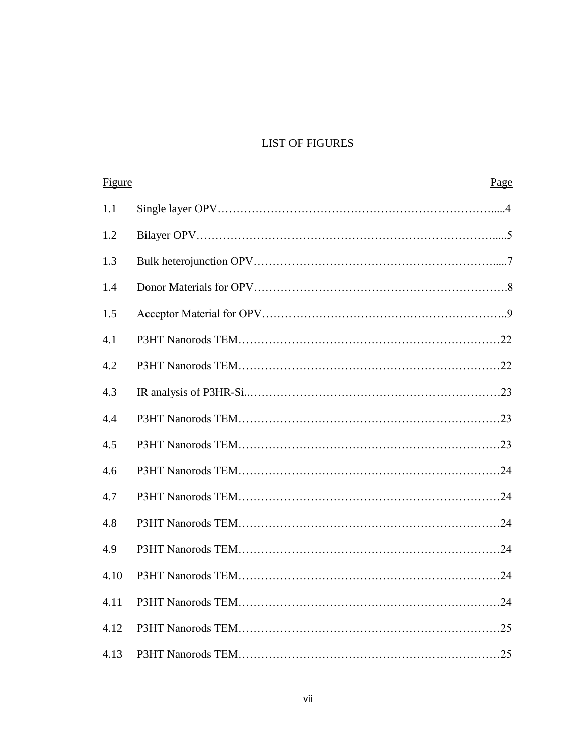## LIST OF FIGURES

| Figure | Page |
|--------|------|
| 1.1    |      |
| 1.2    |      |
| 1.3    |      |
| 1.4    |      |
| 1.5    |      |
| 4.1    |      |
| 4.2    |      |
| 4.3    |      |
| 4.4    |      |
| 4.5    |      |
| 4.6    |      |
| 4.7    |      |
| 4.8    |      |
| 4.9    |      |
| 4.10   |      |
| 4.11   |      |
| 4.12   |      |
| 4.13   |      |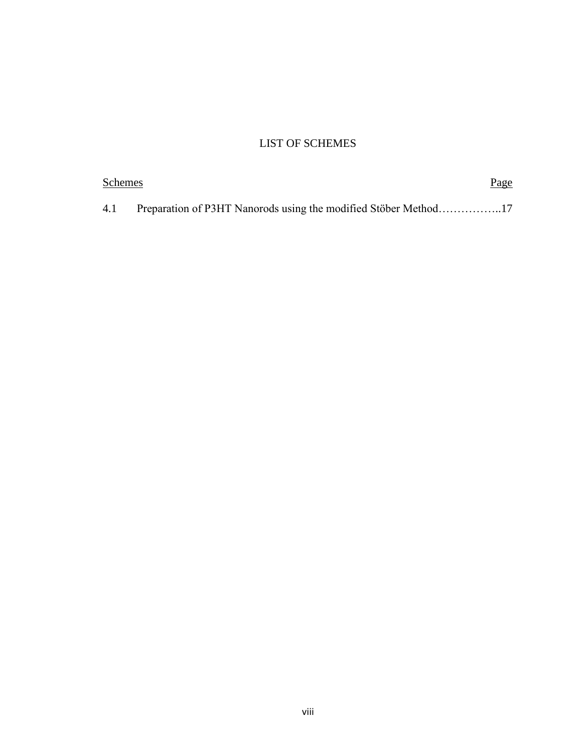# LIST OF SCHEMES

| Schemes | Page |
|---------|------|
| 4.1     |      |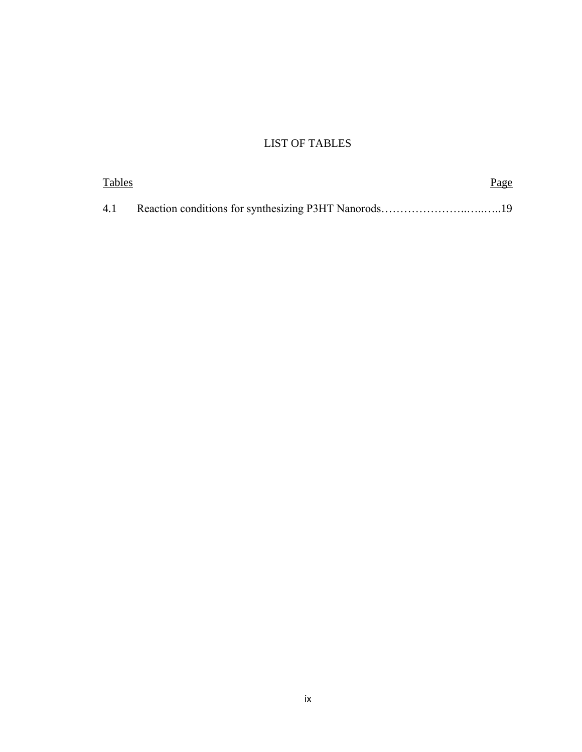# LIST OF TABLES

| Tables | <u>Page</u> |  |
|--------|-------------|--|
|        |             |  |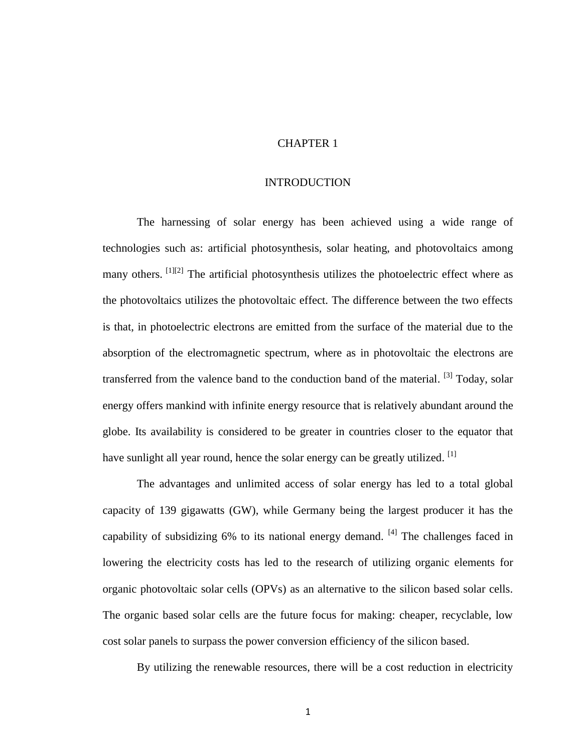## CHAPTER 1

#### INTRODUCTION

The harnessing of solar energy has been achieved using a wide range of technologies such as: artificial photosynthesis, solar heating, and photovoltaics among many others. [1][2] The artificial photosynthesis utilizes the photoelectric effect where as the photovoltaics utilizes the photovoltaic effect. The difference between the two effects is that, in photoelectric electrons are emitted from the surface of the material due to the absorption of the electromagnetic spectrum, where as in photovoltaic the electrons are transferred from the valence band to the conduction band of the material. <sup>[3]</sup> Today, solar energy offers mankind with infinite energy resource that is relatively abundant around the globe. Its availability is considered to be greater in countries closer to the equator that have sunlight all year round, hence the solar energy can be greatly utilized. <sup>[1]</sup>

The advantages and unlimited access of solar energy has led to a total global capacity of 139 gigawatts (GW), while Germany being the largest producer it has the capability of subsidizing 6% to its national energy demand. <sup>[4]</sup> The challenges faced in lowering the electricity costs has led to the research of utilizing organic elements for organic photovoltaic solar cells (OPVs) as an alternative to the silicon based solar cells. The organic based solar cells are the future focus for making: cheaper, recyclable, low cost solar panels to surpass the power conversion efficiency of the silicon based.

By utilizing the renewable resources, there will be a cost reduction in electricity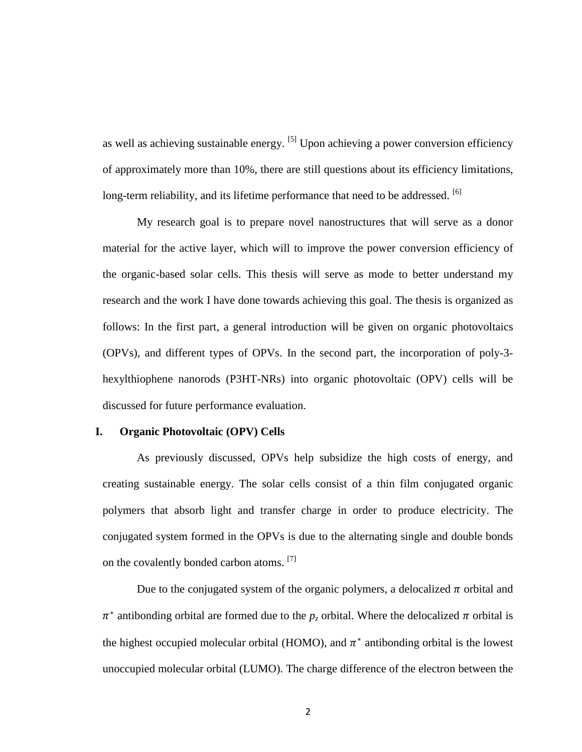as well as achieving sustainable energy. <sup>[5]</sup> Upon achieving a power conversion efficiency of approximately more than 10%, there are still questions about its efficiency limitations, long-term reliability, and its lifetime performance that need to be addressed. <sup>[6]</sup>

My research goal is to prepare novel nanostructures that will serve as a donor material for the active layer, which will to improve the power conversion efficiency of the organic-based solar cells. This thesis will serve as mode to better understand my research and the work I have done towards achieving this goal. The thesis is organized as follows: In the first part, a general introduction will be given on organic photovoltaics (OPVs), and different types of OPVs. In the second part, the incorporation of poly-3 hexylthiophene nanorods (P3HT-NRs) into organic photovoltaic (OPV) cells will be discussed for future performance evaluation.

#### **I. Organic Photovoltaic (OPV) Cells**

As previously discussed, OPVs help subsidize the high costs of energy, and creating sustainable energy. The solar cells consist of a thin film conjugated organic polymers that absorb light and transfer charge in order to produce electricity. The conjugated system formed in the OPVs is due to the alternating single and double bonds on the covalently bonded carbon atoms. <sup>[7]</sup>

Due to the conjugated system of the organic polymers, a delocalized  $\pi$  orbital and  $\pi^*$  antibonding orbital are formed due to the  $p_z$  orbital. Where the delocalized  $\pi$  orbital is the highest occupied molecular orbital (HOMO), and  $\pi^*$  antibonding orbital is the lowest unoccupied molecular orbital (LUMO). The charge difference of the electron between the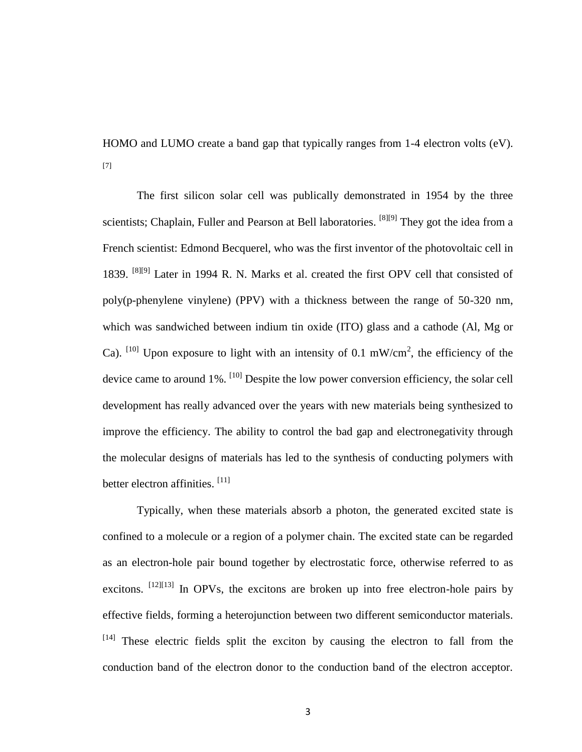HOMO and LUMO create a band gap that typically ranges from 1-4 electron volts (eV). [7]

The first silicon solar cell was publically demonstrated in 1954 by the three scientists; Chaplain, Fuller and Pearson at Bell laboratories. <sup>[8][9]</sup> They got the idea from a French scientist: Edmond Becquerel, who was the first inventor of the photovoltaic cell in 1839. [8][9] Later in 1994 R. N. Marks et al. created the first OPV cell that consisted of poly(p-phenylene vinylene) (PPV) with a thickness between the range of 50-320 nm, which was sandwiched between indium tin oxide (ITO) glass and a cathode (Al, Mg or Ca). <sup>[10]</sup> Upon exposure to light with an intensity of 0.1 mW/cm<sup>2</sup>, the efficiency of the device came to around 1%. [10] Despite the low power conversion efficiency, the solar cell development has really advanced over the years with new materials being synthesized to improve the efficiency. The ability to control the bad gap and electronegativity through the molecular designs of materials has led to the synthesis of conducting polymers with better electron affinities.<sup>[11]</sup>

Typically, when these materials absorb a photon, the generated excited state is confined to a molecule or a region of a polymer chain. The excited state can be regarded as an electron-hole pair bound together by electrostatic force, otherwise referred to as excitons.  $^{[12][13]}$  In OPVs, the excitons are broken up into free electron-hole pairs by effective fields, forming a heterojunction between two different semiconductor materials. [14] These electric fields split the exciton by causing the electron to fall from the conduction band of the electron donor to the conduction band of the electron acceptor.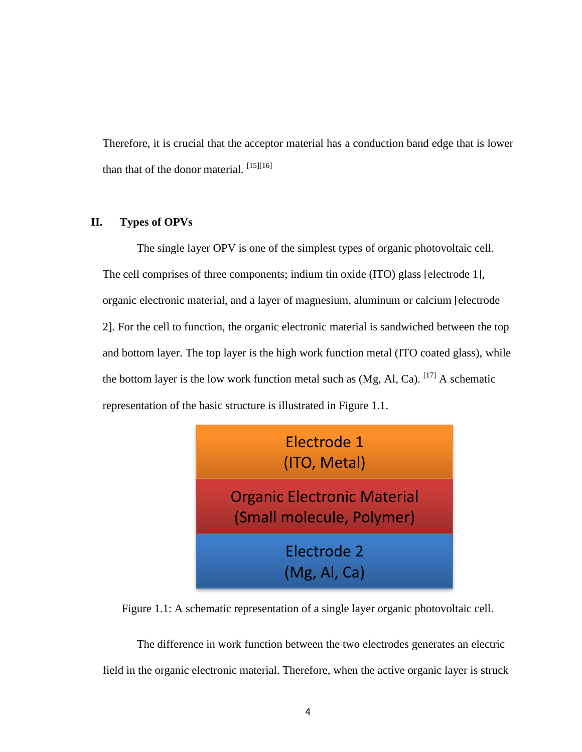Therefore, it is crucial that the acceptor material has a conduction band edge that is lower than that of the donor material.  $^{[15][16]}$ 

#### **II. Types of OPVs**

The single layer OPV is one of the simplest types of organic photovoltaic cell. The cell comprises of three components; indium tin oxide (ITO) glass [electrode 1], organic electronic material, and a layer of magnesium, aluminum or calcium [electrode 2]. For the cell to function, the organic electronic material is sandwiched between the top and bottom layer. The top layer is the high work function metal (ITO coated glass), while the bottom layer is the low work function metal such as  $(Mg, Al, Ca)$ . [17] A schematic representation of the basic structure is illustrated in Figure 1.1.



Figure 1.1: A schematic representation of a single layer organic photovoltaic cell.

The difference in work function between the two electrodes generates an electric field in the organic electronic material. Therefore, when the active organic layer is struck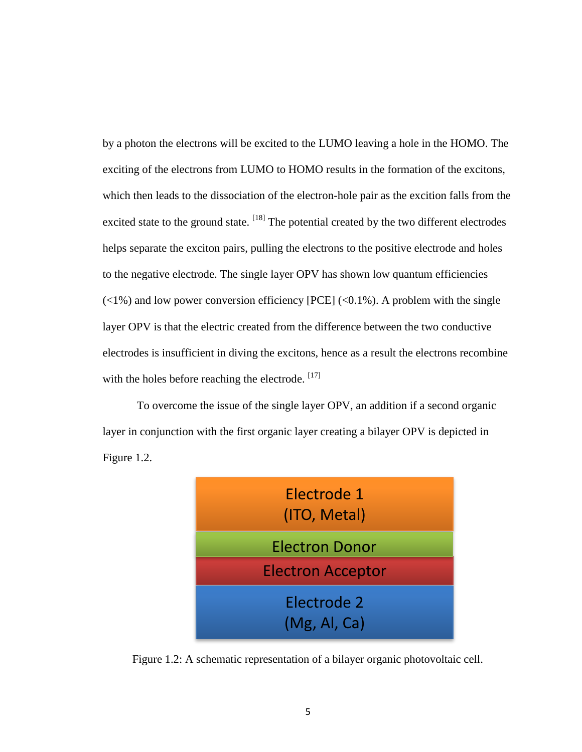by a photon the electrons will be excited to the LUMO leaving a hole in the HOMO. The exciting of the electrons from LUMO to HOMO results in the formation of the excitons, which then leads to the dissociation of the electron-hole pair as the excition falls from the excited state to the ground state.  $^{[18]}$  The potential created by the two different electrodes helps separate the exciton pairs, pulling the electrons to the positive electrode and holes to the negative electrode. The single layer OPV has shown low quantum efficiencies  $(\langle 1\% \rangle)$  and low power conversion efficiency [PCE] ( $\langle 0.1\% \rangle$ ). A problem with the single layer OPV is that the electric created from the difference between the two conductive electrodes is insufficient in diving the excitons, hence as a result the electrons recombine with the holes before reaching the electrode. [17]

To overcome the issue of the single layer OPV, an addition if a second organic layer in conjunction with the first organic layer creating a bilayer OPV is depicted in Figure 1.2.



Figure 1.2: A schematic representation of a bilayer organic photovoltaic cell.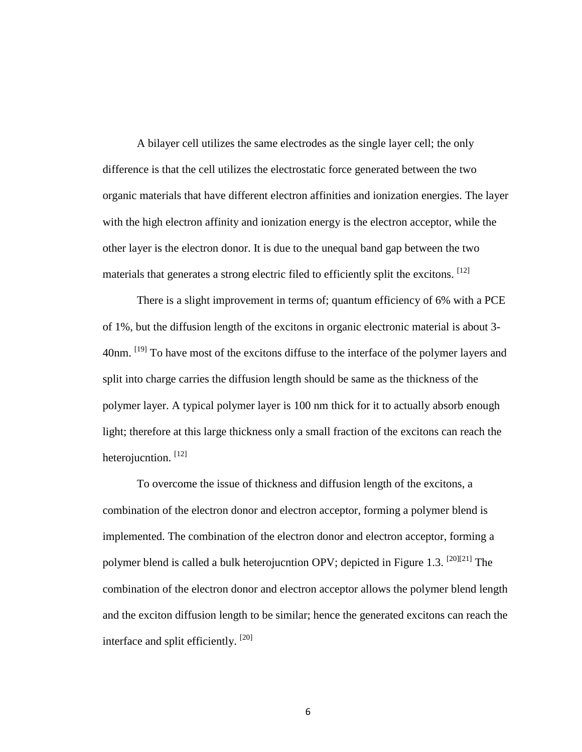A bilayer cell utilizes the same electrodes as the single layer cell; the only difference is that the cell utilizes the electrostatic force generated between the two organic materials that have different electron affinities and ionization energies. The layer with the high electron affinity and ionization energy is the electron acceptor, while the other layer is the electron donor. It is due to the unequal band gap between the two materials that generates a strong electric filed to efficiently split the excitons. <sup>[12]</sup>

There is a slight improvement in terms of; quantum efficiency of 6% with a PCE of 1%, but the diffusion length of the excitons in organic electronic material is about 3- 40nm. <sup>[19]</sup> To have most of the excitons diffuse to the interface of the polymer layers and split into charge carries the diffusion length should be same as the thickness of the polymer layer. A typical polymer layer is 100 nm thick for it to actually absorb enough light; therefore at this large thickness only a small fraction of the excitons can reach the heterojucntion.  $[12]$ 

To overcome the issue of thickness and diffusion length of the excitons, a combination of the electron donor and electron acceptor, forming a polymer blend is implemented. The combination of the electron donor and electron acceptor, forming a polymer blend is called a bulk heterojucntion OPV; depicted in Figure 1.3.  $^{[20][21]}$  The combination of the electron donor and electron acceptor allows the polymer blend length and the exciton diffusion length to be similar; hence the generated excitons can reach the interface and split efficiently. [20]

6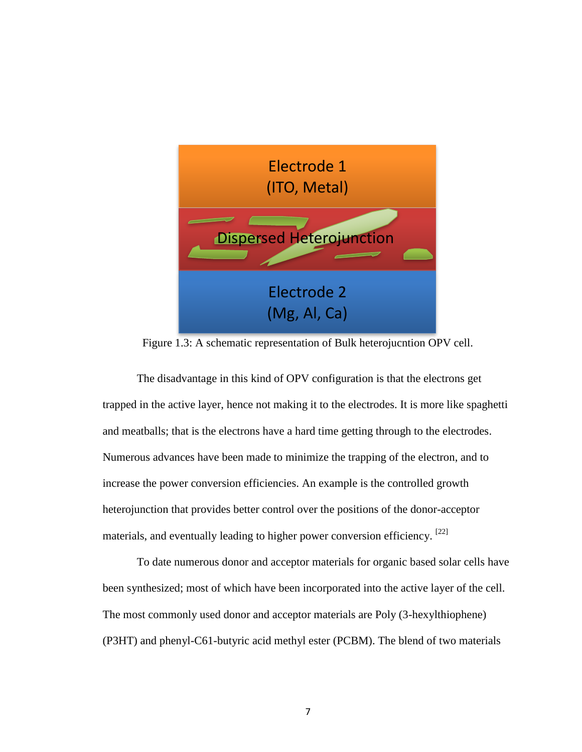

Figure 1.3: A schematic representation of Bulk heterojucntion OPV cell.

The disadvantage in this kind of OPV configuration is that the electrons get trapped in the active layer, hence not making it to the electrodes. It is more like spaghetti and meatballs; that is the electrons have a hard time getting through to the electrodes. Numerous advances have been made to minimize the trapping of the electron, and to increase the power conversion efficiencies. An example is the controlled growth heterojunction that provides better control over the positions of the donor-acceptor materials, and eventually leading to higher power conversion efficiency.  $[22]$ 

To date numerous donor and acceptor materials for organic based solar cells have been synthesized; most of which have been incorporated into the active layer of the cell. The most commonly used donor and acceptor materials are Poly (3-hexylthiophene) (P3HT) and phenyl-C61-butyric acid methyl ester (PCBM). The blend of two materials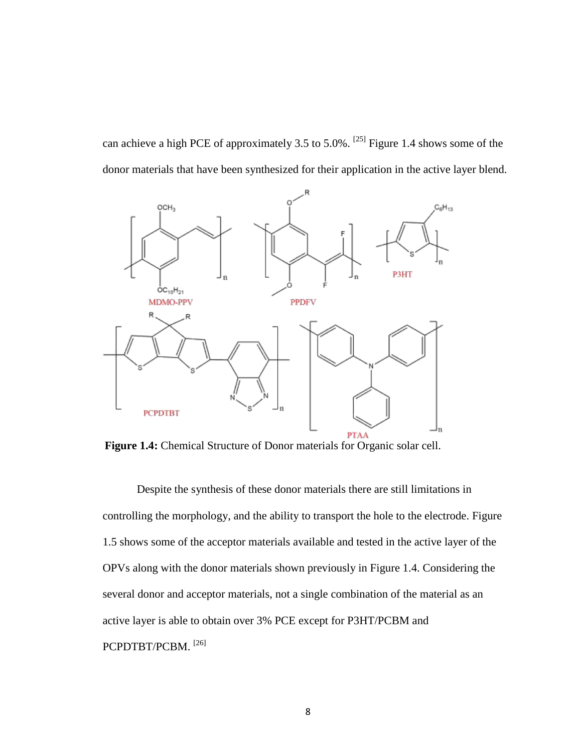can achieve a high PCE of approximately 3.5 to 5.0%. <sup>[25]</sup> Figure 1.4 shows some of the donor materials that have been synthesized for their application in the active layer blend.



**Figure 1.4:** Chemical Structure of Donor materials for Organic solar cell.

Despite the synthesis of these donor materials there are still limitations in controlling the morphology, and the ability to transport the hole to the electrode. Figure 1.5 shows some of the acceptor materials available and tested in the active layer of the OPVs along with the donor materials shown previously in Figure 1.4. Considering the several donor and acceptor materials, not a single combination of the material as an active layer is able to obtain over 3% PCE except for P3HT/PCBM and PCPDTBT/PCBM.<sup>[26]</sup>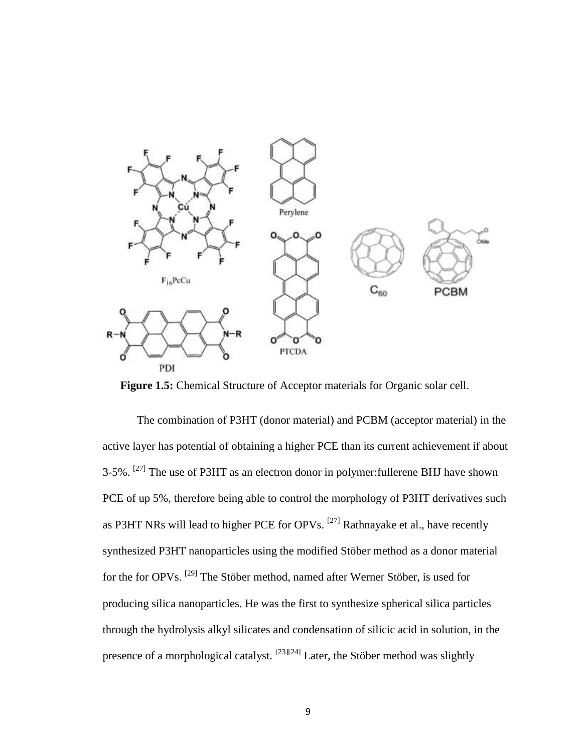

**Figure 1.5:** Chemical Structure of Acceptor materials for Organic solar cell.

The combination of P3HT (donor material) and PCBM (acceptor material) in the active layer has potential of obtaining a higher PCE than its current achievement if about 3-5%.  $^{[27]}$  The use of P3HT as an electron donor in polymer: fullerene BHJ have shown PCE of up 5%, therefore being able to control the morphology of P3HT derivatives such as P3HT NRs will lead to higher PCE for OPVs. <sup>[27]</sup> Rathnayake et al., have recently synthesized P3HT nanoparticles using the modified Stöber method as a donor material for the for OPVs. [29] The Stöber method, named after Werner Stöber, is used for producing silica nanoparticles. He was the first to synthesize spherical silica particles through the hydrolysis alkyl silicates and condensation of silicic acid in solution, in the presence of a morphological catalyst. [23][24] Later, the Stöber method was slightly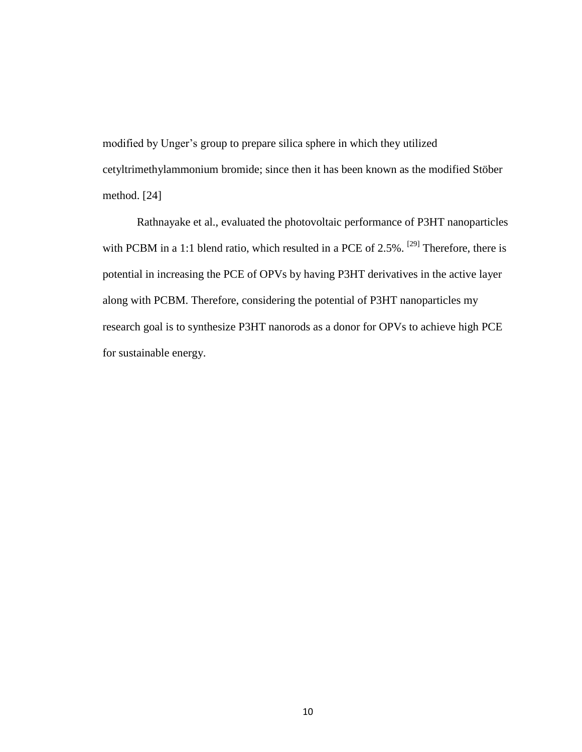modified by Unger's group to prepare silica sphere in which they utilized cetyltrimethylammonium bromide; since then it has been known as the modified Stöber method. [24]

Rathnayake et al., evaluated the photovoltaic performance of P3HT nanoparticles with PCBM in a 1:1 blend ratio, which resulted in a PCE of 2.5%. <sup>[29]</sup> Therefore, there is potential in increasing the PCE of OPVs by having P3HT derivatives in the active layer along with PCBM. Therefore, considering the potential of P3HT nanoparticles my research goal is to synthesize P3HT nanorods as a donor for OPVs to achieve high PCE for sustainable energy.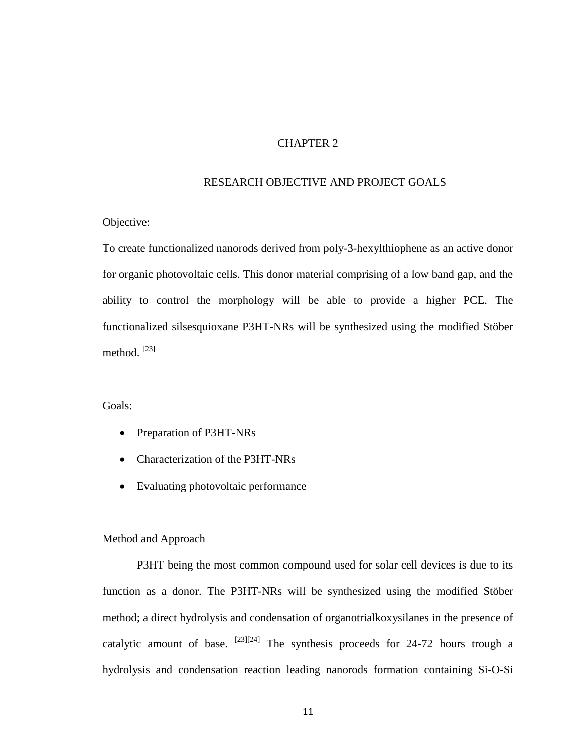## CHAPTER 2

#### RESEARCH OBJECTIVE AND PROJECT GOALS

## Objective:

To create functionalized nanorods derived from poly-3-hexylthiophene as an active donor for organic photovoltaic cells. This donor material comprising of a low band gap, and the ability to control the morphology will be able to provide a higher PCE. The functionalized silsesquioxane P3HT-NRs will be synthesized using the modified Stöber method.<sup>[23]</sup>

## Goals:

- Preparation of P3HT-NRs
- Characterization of the P3HT-NRs
- Evaluating photovoltaic performance

#### Method and Approach

P3HT being the most common compound used for solar cell devices is due to its function as a donor. The P3HT-NRs will be synthesized using the modified Stöber method; a direct hydrolysis and condensation of organotrialkoxysilanes in the presence of catalytic amount of base.  $^{[23][24]}$  The synthesis proceeds for 24-72 hours trough a hydrolysis and condensation reaction leading nanorods formation containing Si-O-Si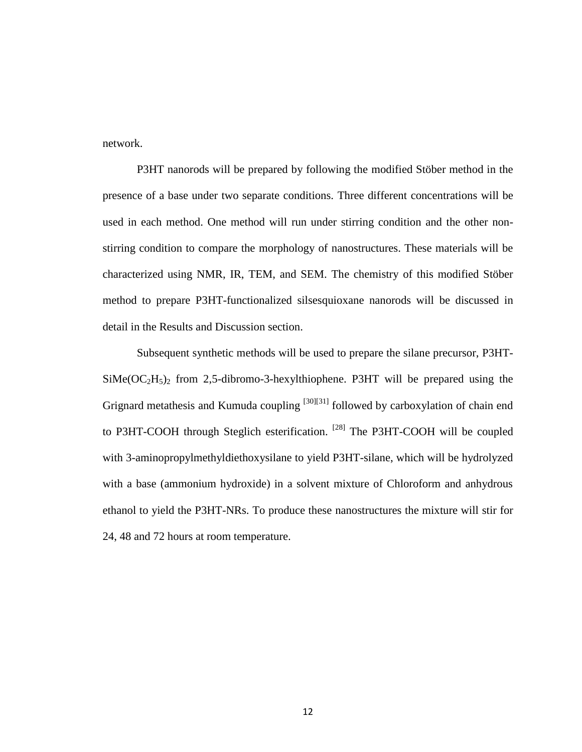network.

P3HT nanorods will be prepared by following the modified Stöber method in the presence of a base under two separate conditions. Three different concentrations will be used in each method. One method will run under stirring condition and the other nonstirring condition to compare the morphology of nanostructures. These materials will be characterized using NMR, IR, TEM, and SEM. The chemistry of this modified Stöber method to prepare P3HT-functionalized silsesquioxane nanorods will be discussed in detail in the Results and Discussion section.

Subsequent synthetic methods will be used to prepare the silane precursor, P3HT- $\text{SiMe}(\text{OC}_2\text{H}_5)$ <sub>2</sub> from 2,5-dibromo-3-hexylthiophene. P3HT will be prepared using the Grignard metathesis and Kumuda coupling  $[30][31]$  followed by carboxylation of chain end to P3HT-COOH through Steglich esterification. [28] The P3HT-COOH will be coupled with 3-aminopropylmethyldiethoxysilane to yield P3HT-silane, which will be hydrolyzed with a base (ammonium hydroxide) in a solvent mixture of Chloroform and anhydrous ethanol to yield the P3HT-NRs. To produce these nanostructures the mixture will stir for 24, 48 and 72 hours at room temperature.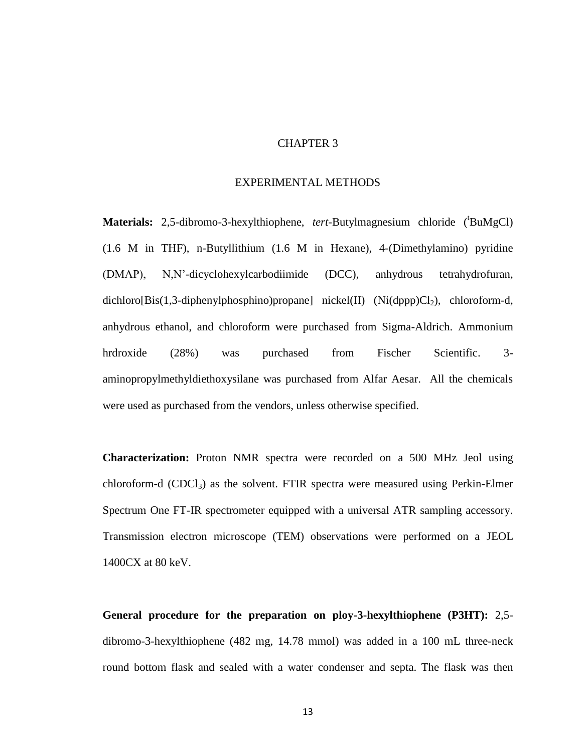## CHAPTER 3

#### EXPERIMENTAL METHODS

**Materials:** 2,5-dibromo-3-hexylthiophene, *tert*-Butylmagnesium chloride ('BuMgCl) (1.6 M in THF), n-Butyllithium (1.6 M in Hexane), 4-(Dimethylamino) pyridine (DMAP), N,N'-dicyclohexylcarbodiimide (DCC), anhydrous tetrahydrofuran, dichloro[Bis(1,3-diphenylphosphino)propane] nickel(II) (Ni(dppp) $Cl_2$ ), chloroform-d, anhydrous ethanol, and chloroform were purchased from Sigma-Aldrich. Ammonium hrdroxide (28%) was purchased from Fischer Scientific. 3 aminopropylmethyldiethoxysilane was purchased from Alfar Aesar. All the chemicals were used as purchased from the vendors, unless otherwise specified.

**Characterization:** Proton NMR spectra were recorded on a 500 MHz Jeol using chloroform-d (CDCl3) as the solvent. FTIR spectra were measured using Perkin-Elmer Spectrum One FT-IR spectrometer equipped with a universal ATR sampling accessory. Transmission electron microscope (TEM) observations were performed on a JEOL 1400CX at 80 keV.

**General procedure for the preparation on ploy-3-hexylthiophene (P3HT):** 2,5 dibromo-3-hexylthiophene (482 mg, 14.78 mmol) was added in a 100 mL three-neck round bottom flask and sealed with a water condenser and septa. The flask was then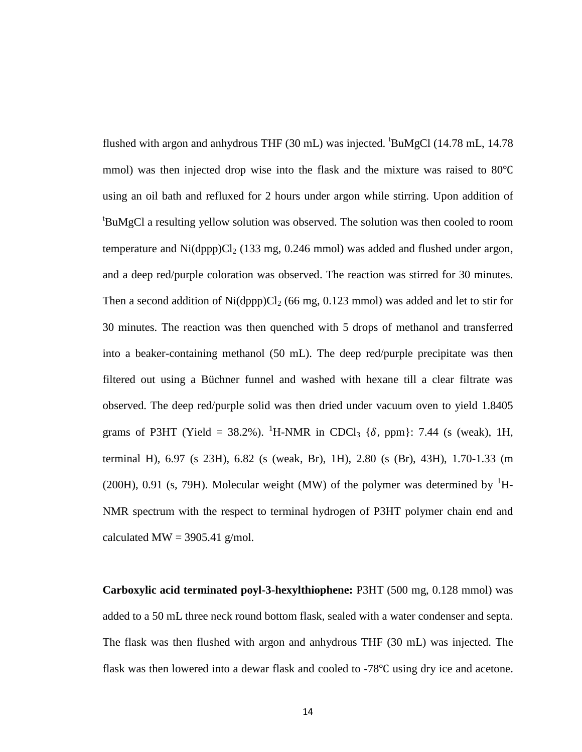flushed with argon and anhydrous THF  $(30 \text{ mL})$  was injected.  $^{\text{t}}$ BuMgCl  $(14.78 \text{ mL}, 14.78 \text{ m})$ mmol) was then injected drop wise into the flask and the mixture was raised to  $80^{\circ}$ C using an oil bath and refluxed for 2 hours under argon while stirring. Upon addition of <sup>t</sup>BuMgCl a resulting yellow solution was observed. The solution was then cooled to room temperature and  $\text{Ni(dopp)Cl}_2$  (133 mg, 0.246 mmol) was added and flushed under argon, and a deep red/purple coloration was observed. The reaction was stirred for 30 minutes. Then a second addition of  $Ni(dppp)Cl<sub>2</sub>$  (66 mg, 0.123 mmol) was added and let to stir for 30 minutes. The reaction was then quenched with 5 drops of methanol and transferred into a beaker-containing methanol (50 mL). The deep red/purple precipitate was then filtered out using a Büchner funnel and washed with hexane till a clear filtrate was observed. The deep red/purple solid was then dried under vacuum oven to yield 1.8405 grams of P3HT (Yield = 38.2%). <sup>1</sup>H-NMR in CDCl<sub>3</sub> { $\delta$ , ppm}: 7.44 (s (weak), 1H, terminal H), 6.97 (s 23H), 6.82 (s (weak, Br), 1H), 2.80 (s (Br), 43H), 1.70-1.33 (m (200H), 0.91 (s, 79H). Molecular weight (MW) of the polymer was determined by  $H$ -NMR spectrum with the respect to terminal hydrogen of P3HT polymer chain end and calculated MW =  $3905.41$  g/mol.

**Carboxylic acid terminated poyl-3-hexylthiophene:** P3HT (500 mg, 0.128 mmol) was added to a 50 mL three neck round bottom flask, sealed with a water condenser and septa. The flask was then flushed with argon and anhydrous THF (30 mL) was injected. The flask was then lowered into a dewar flask and cooled to  $-78^{\circ}$ C using dry ice and acetone.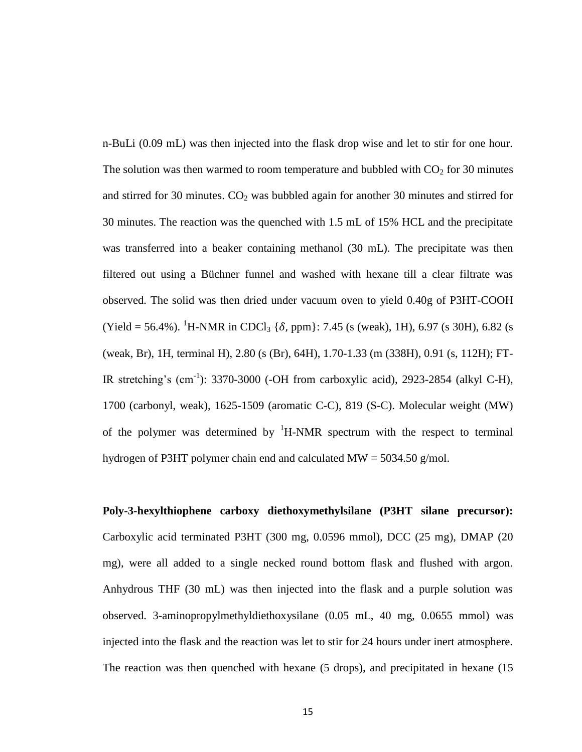n-BuLi (0.09 mL) was then injected into the flask drop wise and let to stir for one hour. The solution was then warmed to room temperature and bubbled with  $CO<sub>2</sub>$  for 30 minutes and stirred for 30 minutes.  $CO<sub>2</sub>$  was bubbled again for another 30 minutes and stirred for 30 minutes. The reaction was the quenched with 1.5 mL of 15% HCL and the precipitate was transferred into a beaker containing methanol (30 mL). The precipitate was then filtered out using a Büchner funnel and washed with hexane till a clear filtrate was observed. The solid was then dried under vacuum oven to yield 0.40g of P3HT-COOH  $(Yield = 56.4\%)$ . <sup>1</sup>H-NMR in CDCl<sub>3</sub> { $\delta$ , ppm}: 7.45 (s (weak), 1H), 6.97 (s 30H), 6.82 (s (weak, Br), 1H, terminal H), 2.80 (s (Br), 64H), 1.70-1.33 (m (338H), 0.91 (s, 112H); FT-IR stretching's  $(cm^{-1})$ : 3370-3000 (-OH from carboxylic acid), 2923-2854 (alkyl C-H), 1700 (carbonyl, weak), 1625-1509 (aromatic C-C), 819 (S-C). Molecular weight (MW) of the polymer was determined by  ${}^{1}H\text{-NMR}$  spectrum with the respect to terminal hydrogen of P3HT polymer chain end and calculated MW = 5034.50 g/mol.

**Poly-3-hexylthiophene carboxy diethoxymethylsilane (P3HT silane precursor):** Carboxylic acid terminated P3HT (300 mg, 0.0596 mmol), DCC (25 mg), DMAP (20 mg), were all added to a single necked round bottom flask and flushed with argon. Anhydrous THF (30 mL) was then injected into the flask and a purple solution was observed. 3-aminopropylmethyldiethoxysilane (0.05 mL, 40 mg, 0.0655 mmol) was injected into the flask and the reaction was let to stir for 24 hours under inert atmosphere. The reaction was then quenched with hexane (5 drops), and precipitated in hexane (15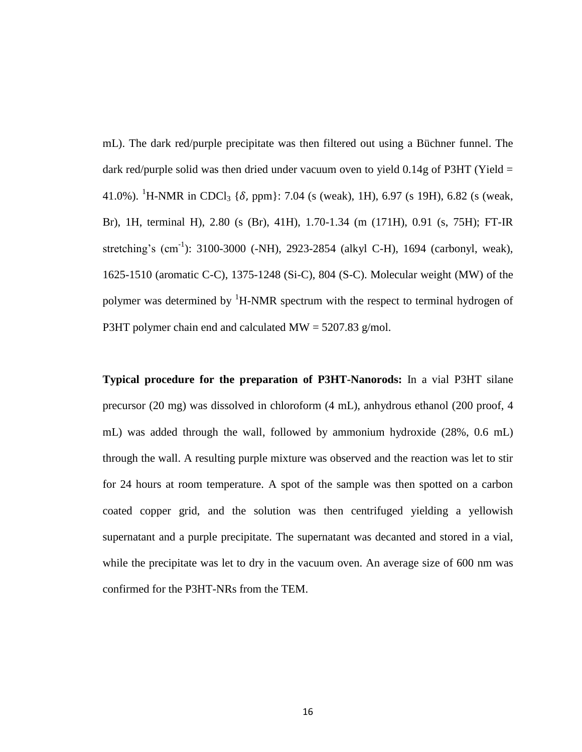mL). The dark red/purple precipitate was then filtered out using a Büchner funnel. The dark red/purple solid was then dried under vacuum oven to yield  $0.14g$  of P3HT (Yield = 41.0%). <sup>1</sup>H-NMR in CDCl<sub>3</sub> { $\delta$ , ppm}: 7.04 (s (weak), 1H), 6.97 (s 19H), 6.82 (s (weak, Br), 1H, terminal H), 2.80 (s (Br), 41H), 1.70-1.34 (m (171H), 0.91 (s, 75H); FT-IR stretching's  $(cm^{-1})$ : 3100-3000 (-NH), 2923-2854 (alkyl C-H), 1694 (carbonyl, weak), 1625-1510 (aromatic C-C), 1375-1248 (Si-C), 804 (S-C). Molecular weight (MW) of the polymer was determined by  ${}^{1}$ H-NMR spectrum with the respect to terminal hydrogen of P3HT polymer chain end and calculated  $MW = 5207.83$  g/mol.

**Typical procedure for the preparation of P3HT-Nanorods:** In a vial P3HT silane precursor (20 mg) was dissolved in chloroform (4 mL), anhydrous ethanol (200 proof, 4 mL) was added through the wall, followed by ammonium hydroxide (28%, 0.6 mL) through the wall. A resulting purple mixture was observed and the reaction was let to stir for 24 hours at room temperature. A spot of the sample was then spotted on a carbon coated copper grid, and the solution was then centrifuged yielding a yellowish supernatant and a purple precipitate. The supernatant was decanted and stored in a vial, while the precipitate was let to dry in the vacuum oven. An average size of 600 nm was confirmed for the P3HT-NRs from the TEM.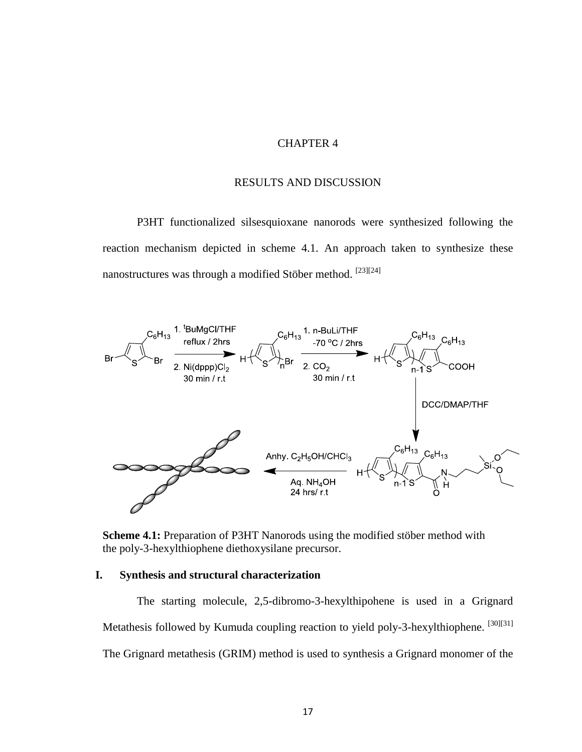## CHAPTER 4

#### RESULTS AND DISCUSSION

P3HT functionalized silsesquioxane nanorods were synthesized following the reaction mechanism depicted in scheme 4.1. An approach taken to synthesize these nanostructures was through a modified Stöber method. [23][24]



**Scheme 4.1:** Preparation of P3HT Nanorods using the modified stöber method with the poly-3-hexylthiophene diethoxysilane precursor.

## **I. Synthesis and structural characterization**

The starting molecule, 2,5-dibromo-3-hexylthipohene is used in a Grignard Metathesis followed by Kumuda coupling reaction to yield poly-3-hexylthiophene. [30][31] The Grignard metathesis (GRIM) method is used to synthesis a Grignard monomer of the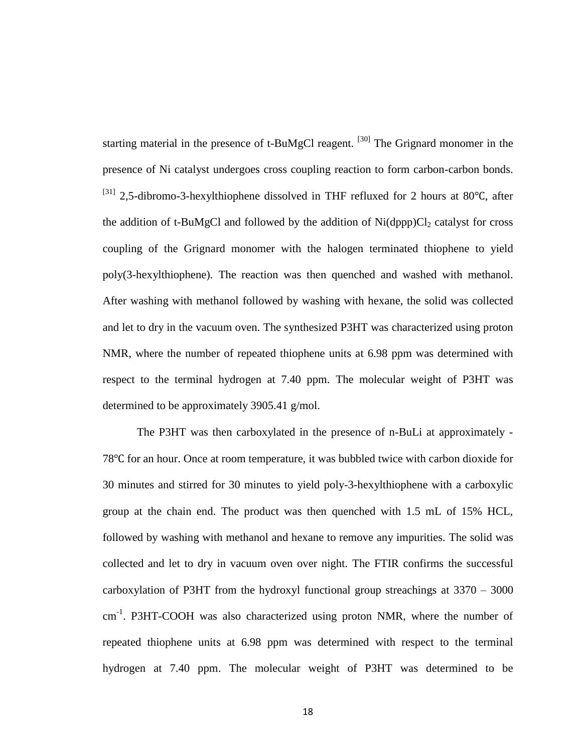starting material in the presence of t-BuMgCl reagent. <sup>[30]</sup> The Grignard monomer in the presence of Ni catalyst undergoes cross coupling reaction to form carbon-carbon bonds.  $^{[31]}$  2,5-dibromo-3-hexylthiophene dissolved in THF refluxed for 2 hours at 80 $^{\circ}$ C, after the addition of t-BuMgCl and followed by the addition of  $Ni(dppp)Cl<sub>2</sub>$  catalyst for cross coupling of the Grignard monomer with the halogen terminated thiophene to yield poly(3-hexylthiophene). The reaction was then quenched and washed with methanol. After washing with methanol followed by washing with hexane, the solid was collected and let to dry in the vacuum oven. The synthesized P3HT was characterized using proton NMR, where the number of repeated thiophene units at 6.98 ppm was determined with respect to the terminal hydrogen at 7.40 ppm. The molecular weight of P3HT was determined to be approximately 3905.41 g/mol.

The P3HT was then carboxylated in the presence of n-BuLi at approximately - 78<sup>o</sup>C for an hour. Once at room temperature, it was bubbled twice with carbon dioxide for 30 minutes and stirred for 30 minutes to yield poly-3-hexylthiophene with a carboxylic group at the chain end. The product was then quenched with 1.5 mL of 15% HCL, followed by washing with methanol and hexane to remove any impurities. The solid was collected and let to dry in vacuum oven over night. The FTIR confirms the successful carboxylation of P3HT from the hydroxyl functional group streachings at 3370 – 3000 cm<sup>-1</sup>. P3HT-COOH was also characterized using proton NMR, where the number of repeated thiophene units at 6.98 ppm was determined with respect to the terminal hydrogen at 7.40 ppm. The molecular weight of P3HT was determined to be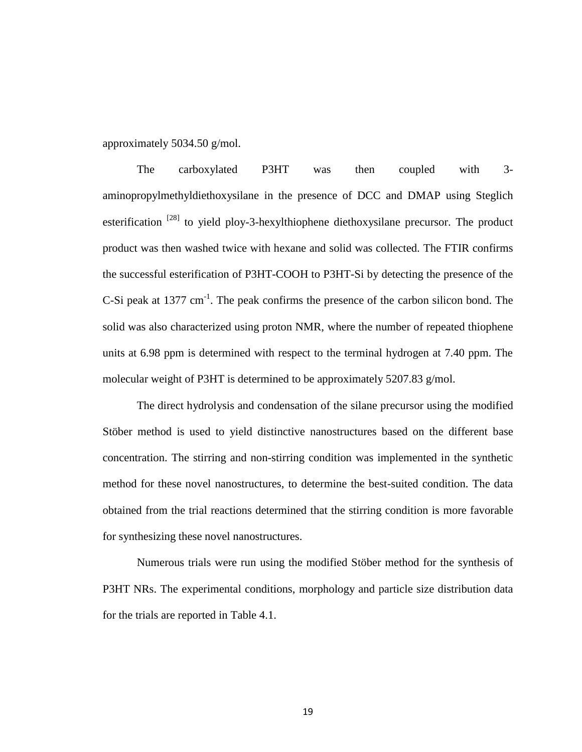approximately 5034.50 g/mol.

The carboxylated P3HT was then coupled with 3 aminopropylmethyldiethoxysilane in the presence of DCC and DMAP using Steglich esterification  $^{[28]}$  to yield ploy-3-hexylthiophene diethoxysilane precursor. The product product was then washed twice with hexane and solid was collected. The FTIR confirms the successful esterification of P3HT-COOH to P3HT-Si by detecting the presence of the C-Si peak at  $1377 \text{ cm}^{-1}$ . The peak confirms the presence of the carbon silicon bond. The solid was also characterized using proton NMR, where the number of repeated thiophene units at 6.98 ppm is determined with respect to the terminal hydrogen at 7.40 ppm. The molecular weight of P3HT is determined to be approximately 5207.83 g/mol.

The direct hydrolysis and condensation of the silane precursor using the modified Stöber method is used to yield distinctive nanostructures based on the different base concentration. The stirring and non-stirring condition was implemented in the synthetic method for these novel nanostructures, to determine the best-suited condition. The data obtained from the trial reactions determined that the stirring condition is more favorable for synthesizing these novel nanostructures.

Numerous trials were run using the modified Stöber method for the synthesis of P3HT NRs. The experimental conditions, morphology and particle size distribution data for the trials are reported in Table 4.1.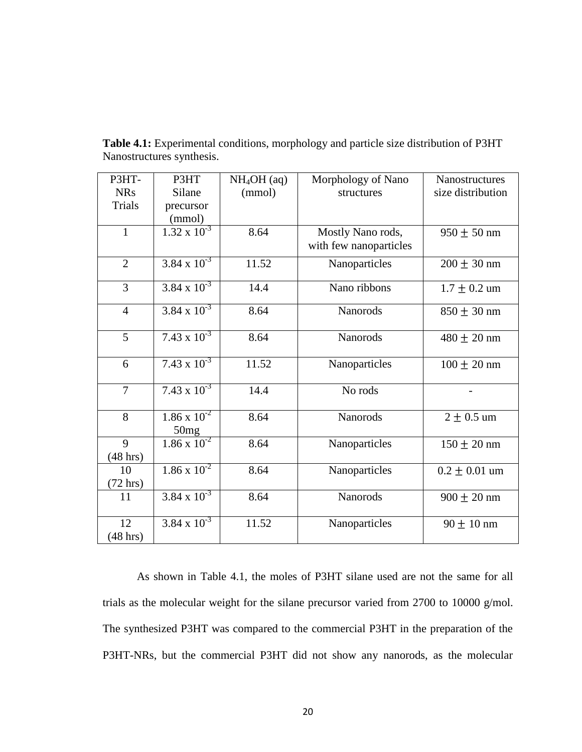| P3HT-              | P3HT                                     | $NH4OH$ (aq) | Morphology of Nano     | Nanostructures    |
|--------------------|------------------------------------------|--------------|------------------------|-------------------|
| <b>NRs</b>         | Silane                                   | (mmol)       | structures             | size distribution |
| Trials             | precursor                                |              |                        |                   |
|                    | (mmol)                                   |              |                        |                   |
| $\mathbf{1}$       | $1.32 \times 10^{-3}$                    | 8.64         | Mostly Nano rods,      | $950 \pm 50$ nm   |
|                    |                                          |              | with few nanoparticles |                   |
| $\overline{2}$     | $3.84 \times 10^{-3}$                    | 11.52        | Nanoparticles          | $200 \pm 30$ nm   |
| $\overline{3}$     | $3.84 \times 10^{-3}$                    | 14.4         | Nano ribbons           | $1.7 \pm 0.2$ um  |
| $\overline{4}$     | $3.84 \times 10^{-3}$                    | 8.64         | Nanorods               | $850 \pm 30$ nm   |
| 5                  | $7.43 \times 10^{-3}$                    | 8.64         | Nanorods               | $480 \pm 20$ nm   |
| 6                  | $7.43 \times 10^{-3}$                    | 11.52        | Nanoparticles          | $100 \pm 20$ nm   |
| $\overline{7}$     | $7.43 \times 10^{-3}$                    | 14.4         | No rods                |                   |
| 8                  | $1.\overline{86 \times 10^{-2}}$<br>50mg | 8.64         | Nanorods               | $2 \pm 0.5$ um    |
| 9                  | $1.86 \times 10^{-2}$                    | 8.64         | Nanoparticles          | $150 \pm 20$ nm   |
| $(48 \text{ hrs})$ |                                          |              |                        |                   |
| 10                 | $1.86 \times 10^{-2}$                    | 8.64         | Nanoparticles          | $0.2 \pm 0.01$ um |
| $(72 \text{ hrs})$ |                                          |              |                        |                   |
| 11                 | $3.84 \times 10^{-3}$                    | 8.64         | Nanorods               | $900 \pm 20$ nm   |
| 12                 | $3.84 \times 10^{-3}$                    | 11.52        | Nanoparticles          | $90 \pm 10$ nm    |
| $(48 \text{ hrs})$ |                                          |              |                        |                   |

**Table 4.1:** Experimental conditions, morphology and particle size distribution of P3HT Nanostructures synthesis.

As shown in Table 4.1, the moles of P3HT silane used are not the same for all trials as the molecular weight for the silane precursor varied from 2700 to 10000 g/mol. The synthesized P3HT was compared to the commercial P3HT in the preparation of the P3HT-NRs, but the commercial P3HT did not show any nanorods, as the molecular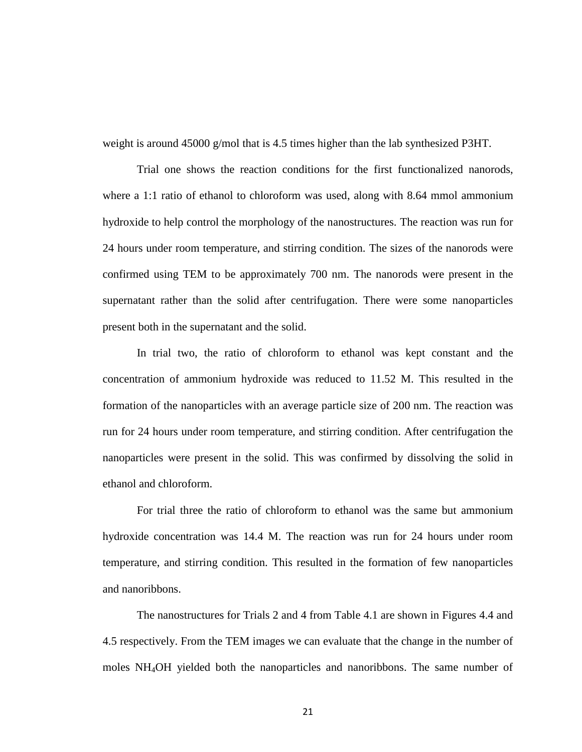weight is around 45000 g/mol that is 4.5 times higher than the lab synthesized P3HT.

Trial one shows the reaction conditions for the first functionalized nanorods, where a 1:1 ratio of ethanol to chloroform was used, along with 8.64 mmol ammonium hydroxide to help control the morphology of the nanostructures. The reaction was run for 24 hours under room temperature, and stirring condition. The sizes of the nanorods were confirmed using TEM to be approximately 700 nm. The nanorods were present in the supernatant rather than the solid after centrifugation. There were some nanoparticles present both in the supernatant and the solid.

In trial two, the ratio of chloroform to ethanol was kept constant and the concentration of ammonium hydroxide was reduced to 11.52 M. This resulted in the formation of the nanoparticles with an average particle size of 200 nm. The reaction was run for 24 hours under room temperature, and stirring condition. After centrifugation the nanoparticles were present in the solid. This was confirmed by dissolving the solid in ethanol and chloroform.

For trial three the ratio of chloroform to ethanol was the same but ammonium hydroxide concentration was 14.4 M. The reaction was run for 24 hours under room temperature, and stirring condition. This resulted in the formation of few nanoparticles and nanoribbons.

The nanostructures for Trials 2 and 4 from Table 4.1 are shown in Figures 4.4 and 4.5 respectively. From the TEM images we can evaluate that the change in the number of moles NH4OH yielded both the nanoparticles and nanoribbons. The same number of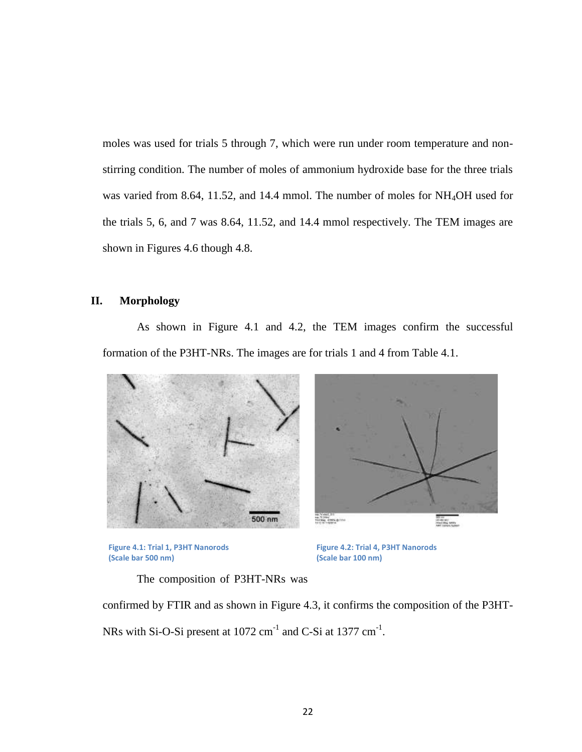moles was used for trials 5 through 7, which were run under room temperature and nonstirring condition. The number of moles of ammonium hydroxide base for the three trials was varied from 8.64, 11.52, and 14.4 mmol. The number of moles for NH4OH used for the trials 5, 6, and 7 was 8.64, 11.52, and 14.4 mmol respectively. The TEM images are shown in Figures 4.6 though 4.8.

## **II. Morphology**

As shown in Figure 4.1 and 4.2, the TEM images confirm the successful formation of the P3HT-NRs. The images are for trials 1 and 4 from Table 4.1.







**Figure 4.2: Trial 4, P3HT Nanorods (Scale bar 100 nm)**

The composition of P3HT-NRs was

confirmed by FTIR and as shown in Figure 4.3, it confirms the composition of the P3HT-NRs with Si-O-Si present at  $1072 \text{ cm}^{-1}$  and C-Si at  $1377 \text{ cm}^{-1}$ .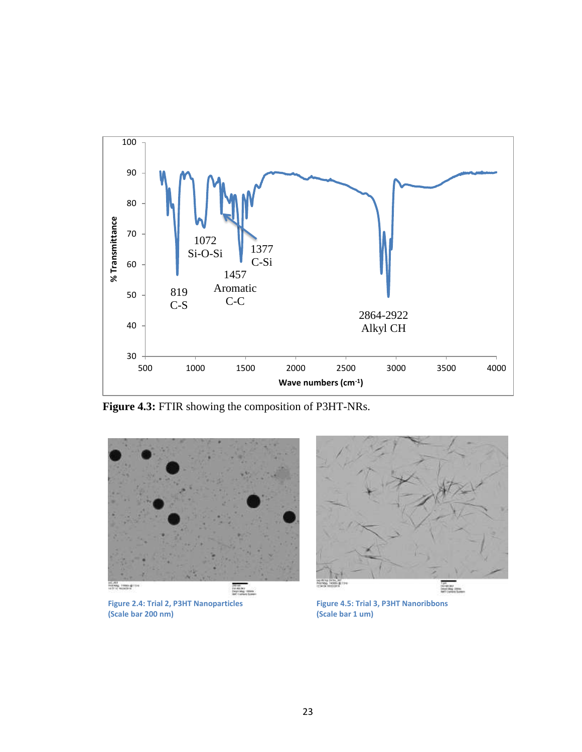

**Figure 4.3:** FTIR showing the composition of P3HT-NRs.



**Figure 2.4: Trial 2, P3HT Nanoparticles (Scale bar 200 nm)**



**Figure 4.5: Trial 3, P3HT Nanoribbons (Scale bar 1 um)**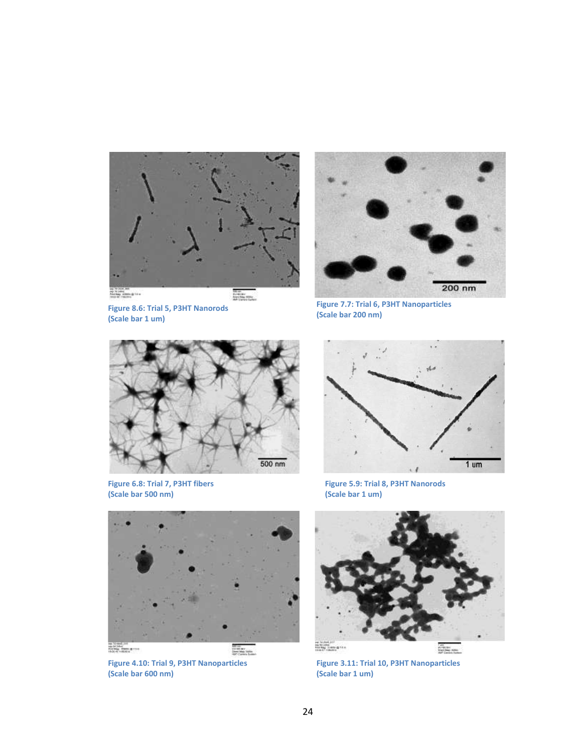



**Figure 8.6: Trial 5, P3HT Nanorods (Scale bar 1 um)**

**Figure 7.7: Trial 6, P3HT Nanoparticles (Scale bar 200 nm)**



**Figure 6.8: Trial 7, P3HT fibers (Scale bar 500 nm)**



**Figure 5.9: Trial 8, P3HT Nanorods (Scale bar 1 um)**



**Figure 4.10: Trial 9, P3HT Nanoparticles (Scale bar 600 nm)**



**Figure 3.11: Trial 10, P3HT Nanoparticles (Scale bar 1 um)**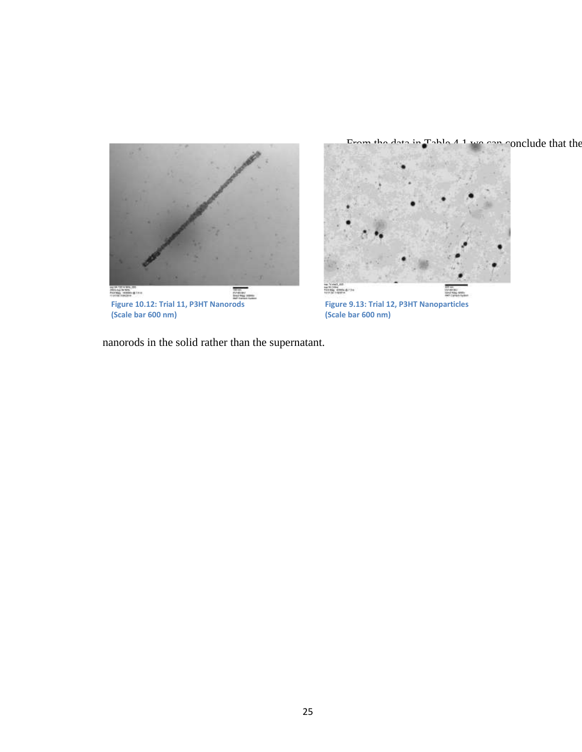

Erom the data in  $\Gamma$ able  $4.1$  we can conclude that the



**Figure 9.13: Trial 12, P3HT Nanoparticles (Scale bar 600 nm)**

nanorods in the solid rather than the supernatant.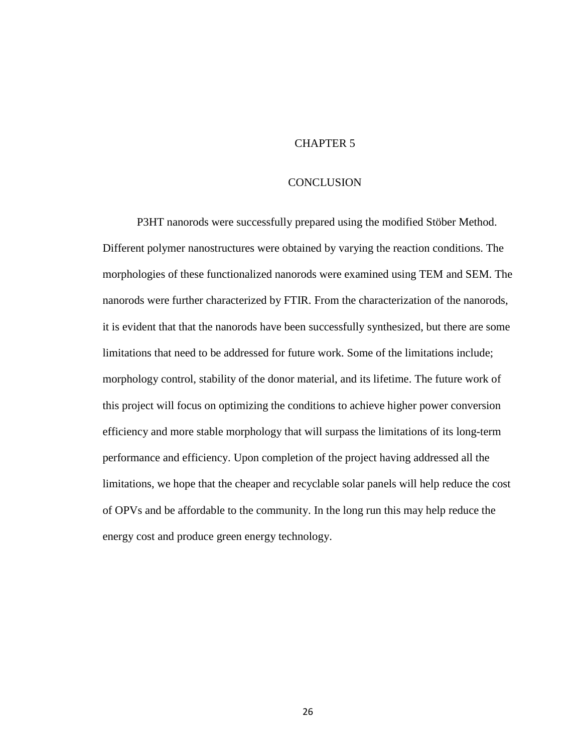## CHAPTER 5

#### **CONCLUSION**

P3HT nanorods were successfully prepared using the modified Stöber Method. Different polymer nanostructures were obtained by varying the reaction conditions. The morphologies of these functionalized nanorods were examined using TEM and SEM. The nanorods were further characterized by FTIR. From the characterization of the nanorods, it is evident that that the nanorods have been successfully synthesized, but there are some limitations that need to be addressed for future work. Some of the limitations include; morphology control, stability of the donor material, and its lifetime. The future work of this project will focus on optimizing the conditions to achieve higher power conversion efficiency and more stable morphology that will surpass the limitations of its long-term performance and efficiency. Upon completion of the project having addressed all the limitations, we hope that the cheaper and recyclable solar panels will help reduce the cost of OPVs and be affordable to the community. In the long run this may help reduce the energy cost and produce green energy technology.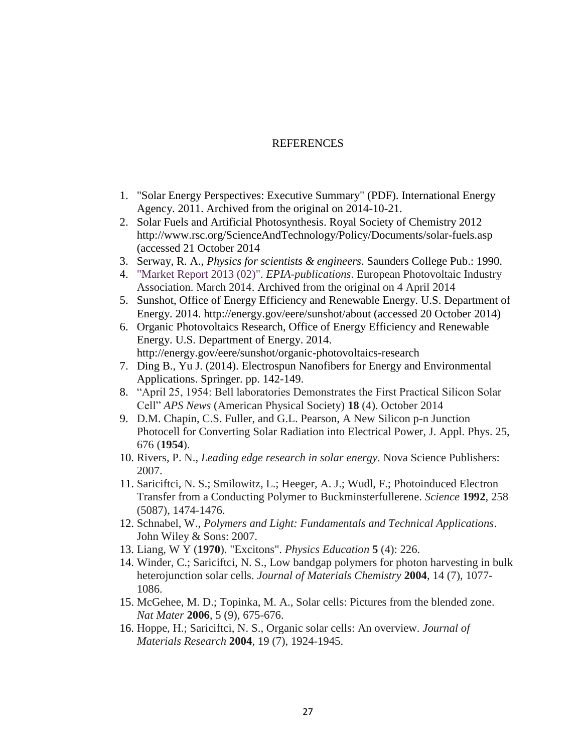#### **REFERENCES**

- 1. "Solar Energy Perspectives: Executive Summary" (PDF). International Energy Agency. 2011. Archived from the original on 2014-10-21.
- 2. Solar Fuels and Artificial Photosynthesis. Royal Society of Chemistry 2012 http://www.rsc.org/ScienceAndTechnology/Policy/Documents/solar-fuels.asp (accessed 21 October 2014
- 3. Serway, R. A., *Physics for scientists & engineers*. Saunders College Pub.: 1990.
- 4. ["Market Report 2013 \(02\)".](http://www.epia.org/news/publications/) *EPIA-publications*. European Photovoltaic Industry Association. March 2014. Archived from the original on 4 April 2014
- 5. Sunshot, Office of Energy Efficiency and Renewable Energy. U.S. Department of Energy. 2014. http://energy.gov/eere/sunshot/about (accessed 20 October 2014)
- 6. Organic Photovoltaics Research, Office of Energy Efficiency and Renewable Energy. U.S. Department of Energy. 2014. http://energy.gov/eere/sunshot/organic-photovoltaics-research
- 7. Ding B., Yu J. (2014). Electrospun Nanofibers for Energy and Environmental Applications. Springer. pp. 142-149.
- 8. "April 25, 1954: Bell laboratories Demonstrates the First Practical Silicon Solar Cell" *APS News* (American Physical Society) **18** (4). October 2014
- 9. D.M. Chapin, C.S. Fuller, and G.L. Pearson, A New Silicon p-n Junction Photocell for Converting Solar Radiation into Electrical Power, J. Appl. Phys. 25, 676 (**1954**).
- 10. Rivers, P. N., *Leading edge research in solar energy.* Nova Science Publishers: 2007.
- 11. Sariciftci, N. S.; Smilowitz, L.; Heeger, A. J.; Wudl, F.; Photoinduced Electron Transfer from a Conducting Polymer to Buckminsterfullerene. *Science* **1992**, 258 (5087), 1474-1476.
- 12. Schnabel, W., *Polymers and Light: Fundamentals and Technical Applications*. John Wiley & Sons: 2007.
- 13. Liang, W Y (**1970**). "Excitons". *Physics Education* **5** (4): 226.
- 14. Winder, C.; Sariciftci, N. S., Low bandgap polymers for photon harvesting in bulk heterojunction solar cells. *Journal of Materials Chemistry* **2004**, 14 (7), 1077- 1086.
- 15. McGehee, M. D.; Topinka, M. A., Solar cells: Pictures from the blended zone. *Nat Mater* **2006**, 5 (9), 675-676.
- 16. Hoppe, H.; Sariciftci, N. S., Organic solar cells: An overview. *Journal of Materials Research* **2004**, 19 (7), 1924-1945.